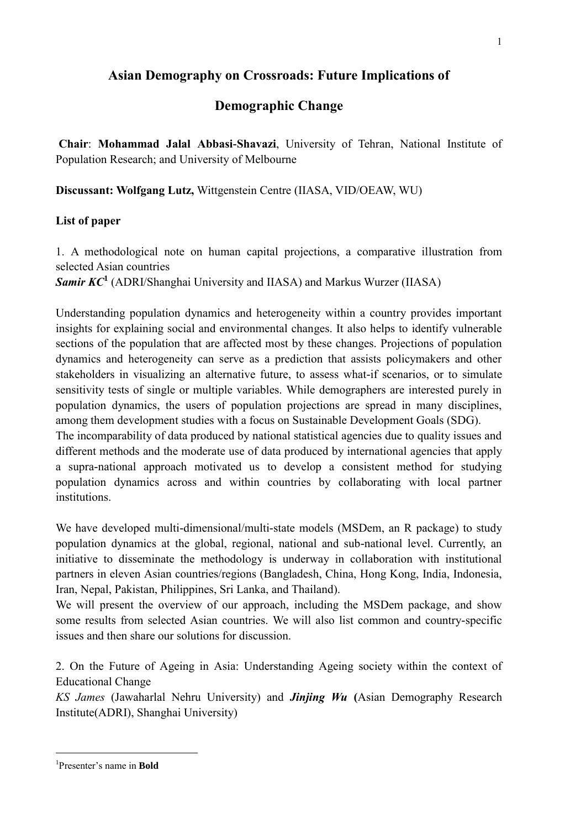## **Asian Demography on Crossroads: Future Implications of**

## **Demographic Change**

**Chair**: **Mohammad Jalal Abbasi-Shavazi**, University of Tehran, National Institute of Population Research; and University of Melbourne

**Discussant: Wolfgang Lutz,** Wittgenstein Centre (IIASA, VID/OEAW, WU)

## **List of paper**

1. A methodological note on human capital projections, a comparative illustration from selected Asian countries

*Samir KC***<sup>1</sup>** (ADRI/Shanghai University and IIASA) and Markus Wurzer (IIASA)

Understanding population dynamics and heterogeneity within a country provides important insights for explaining social and environmental changes. It also helps to identify vulnerable sections of the population that are affected most by these changes. Projections of population dynamics and heterogeneity can serve as a prediction that assists policymakers and other stakeholders in visualizing an alternative future, to assess what-if scenarios, or to simulate sensitivity tests of single or multiple variables. While demographers are interested purely in population dynamics, the users of population projections are spread in many disciplines, among them development studies with a focus on Sustainable Development Goals (SDG).

The incomparability of data produced by national statistical agencies due to quality issues and different methods and the moderate use of data produced by international agencies that apply a supra-national approach motivated us to develop a consistent method for studying population dynamics across and within countries by collaborating with local partner institutions.

We have developed multi-dimensional/multi-state models (MSDem, an R package) to study population dynamics at the global, regional, national and sub-national level. Currently, an initiative to disseminate the methodology is underway in collaboration with institutional partners in eleven Asian countries/regions (Bangladesh, China, Hong Kong, India, Indonesia, Iran, Nepal, Pakistan, Philippines, Sri Lanka, and Thailand).

We will present the overview of our approach, including the MSDem package, and show some results from selected Asian countries. We will also list common and country-specific issues and then share our solutions for discussion.

2. On the Future of Ageing in Asia: Understanding Ageing society within the context of Educational Change

*KS James* (Jawaharlal Nehru University) and *Jinjing Wu* **(**Asian Demography Research Institute(ADRI), Shanghai University)

<u>.</u>

<sup>1</sup> Presenter's name in **Bold**